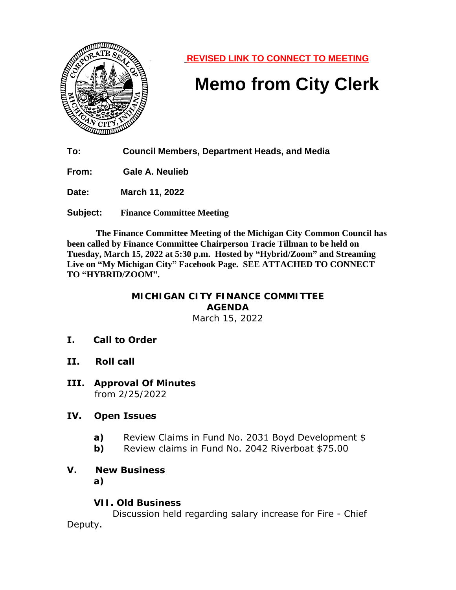

**REVISED LINK TO CONNECT TO MEETING**

# **Memo from City Clerk**

**To: Council Members, Department Heads, and Media**

**From: Gale A. Neulieb**

**Date: March 11, 2022**

**Subject: Finance Committee Meeting**

 **The Finance Committee Meeting of the Michigan City Common Council has been called by Finance Committee Chairperson Tracie Tillman to be held on Tuesday, March 15, 2022 at 5:30 p.m. Hosted by "Hybrid/Zoom" and Streaming Live on "My Michigan City" Facebook Page. SEE ATTACHED TO CONNECT TO "HYBRID/ZOOM".**

#### **MICHIGAN CITY FINANCE COMMITTEE AGENDA** March 15, 2022

- **I. Call to Order**
- **II. Roll call**
- **III. Approval Of Minutes** from 2/25/2022

### **IV. Open Issues**

- **a)** Review Claims in Fund No. 2031 Boyd Development \$
- **b)** Review claims in Fund No. 2042 Riverboat \$75.00

## **V. New Business**

**a)**

### **VII. Old Business**

 Discussion held regarding salary increase for Fire - Chief Deputy.